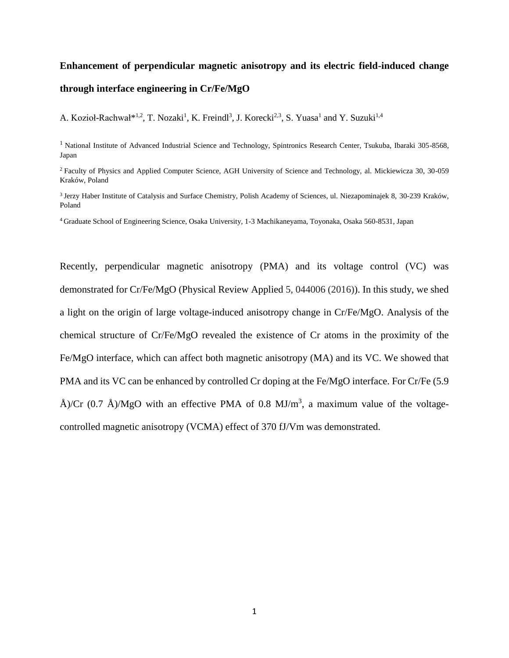# **Enhancement of perpendicular magnetic anisotropy and its electric field-induced change through interface engineering in Cr/Fe/MgO**

A. Kozioł-Rachwał\*<sup>1,2</sup>, T. Nozaki<sup>1</sup>, K. Freindl<sup>3</sup>, J. Korecki<sup>2,3</sup>, S. Yuasa<sup>1</sup> and Y. Suzuki<sup>1,4</sup>

<sup>1</sup> National Institute of Advanced Industrial Science and Technology, Spintronics Research Center, Tsukuba, Ibaraki 305-8568, [Japan](http://scitation.aip.org/search?option1=pub_affiliation&value1=National%20Institute%20of%20Advanced%20Industrial%20Science%20and%20Technology,%20Spintronics%20Research%20Center,%20Tsukuba,%20Ibaraki%20305-8568,%20Japan&option912=resultCategory&value912=ResearchPublicationContent)

<sup>2</sup> Faculty of Physics and Applied [Computer Science, AGH University of Science and Technology, al. Mickiewicza 30, 30-059](http://scitation.aip.org/search?option1=pub_affiliation&value1=Faculty%20of%20Physics%20and%20Applied%20Computer%20Science,%20AGH%20University%20of%20Science%20and%20Technology,%20al.%20Mickiewicza%2030,%2030-059%20Krak%C3%B3w,%20Poland&option912=resultCategory&value912=ResearchPublicationContent)  [Kraków, Poland](http://scitation.aip.org/search?option1=pub_affiliation&value1=Faculty%20of%20Physics%20and%20Applied%20Computer%20Science,%20AGH%20University%20of%20Science%20and%20Technology,%20al.%20Mickiewicza%2030,%2030-059%20Krak%C3%B3w,%20Poland&option912=resultCategory&value912=ResearchPublicationContent)

3 [Jerzy Haber Institute of Catalysis and Surface Chemistry, Polish Academy of Sciences, ul. Niezapominajek 8,](http://scitation.aip.org/search?option1=pub_affiliation&value1=Jerzy%20Haber%20Institute%20of%20Catalysis%20and%20Surface%20Chemistry,%20Polish%20Academy%20of%20Sciences,%20ul.%20Niezapominajek%208,%2030-239%20Krak%C3%B3w,%20Poland&option912=resultCategory&value912=ResearchPublicationContent) 30-239 Kraków, [Poland](http://scitation.aip.org/search?option1=pub_affiliation&value1=Jerzy%20Haber%20Institute%20of%20Catalysis%20and%20Surface%20Chemistry,%20Polish%20Academy%20of%20Sciences,%20ul.%20Niezapominajek%208,%2030-239%20Krak%C3%B3w,%20Poland&option912=resultCategory&value912=ResearchPublicationContent)

<sup>4</sup> Graduate School of Engineering Science, Osaka University, 1-3 Machikaneyama, Toyonaka, Osaka 560-8531, Japan

Recently, perpendicular magnetic anisotropy (PMA) and its voltage control (VC) was demonstrated for Cr/Fe/MgO (Physical Review Applied 5, 044006 (2016)). In this study, we shed a light on the origin of large voltage-induced anisotropy change in Cr/Fe/MgO. Analysis of the chemical structure of Cr/Fe/MgO revealed the existence of Cr atoms in the proximity of the Fe/MgO interface, which can affect both magnetic anisotropy (MA) and its VC. We showed that PMA and its VC can be enhanced by controlled Cr doping at the Fe/MgO interface. For Cr/Fe (5.9 Å)/Cr (0.7 Å)/MgO with an effective PMA of 0.8 MJ/m<sup>3</sup>, a maximum value of the voltagecontrolled magnetic anisotropy (VCMA) effect of 370 fJ/Vm was demonstrated.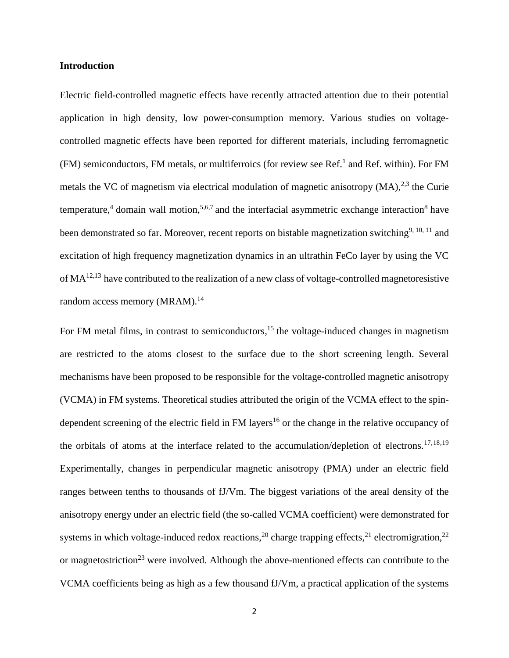### **Introduction**

Electric field-controlled magnetic effects have recently attracted attention due to their potential application in high density, low power-consumption memory. Various studies on voltagecontrolled magnetic effects have been reported for different materials, including ferromagnetic (FM) semiconductors, FM metals, or multiferroics (for review see Ref.<sup>1</sup> and Ref. within). For FM metals the VC of magnetism via electrical modulation of magnetic anisotropy  $(MA)$ ,<sup>2,3</sup> the Curie temperature,<sup>4</sup> domain wall motion,<sup>5,6,7</sup> and the interfacial asymmetric exchange interaction<sup>8</sup> have been demonstrated so far. Moreover, recent reports on bistable magnetization switching<sup>9, 10, 11</sup> and excitation of high frequency magnetization dynamics in an ultrathin FeCo layer by using the VC of  $MA<sup>12,13</sup>$  have contributed to the realization of a new class of voltage-controlled magnetoresistive random access memory (MRAM).<sup>14</sup>

For FM metal films, in contrast to semiconductors,<sup>15</sup> the voltage-induced changes in magnetism are restricted to the atoms closest to the surface due to the short screening length. Several mechanisms have been proposed to be responsible for the voltage-controlled magnetic anisotropy (VCMA) in FM systems. Theoretical studies attributed the origin of the VCMA effect to the spindependent screening of the electric field in FM layers<sup>16</sup> or the change in the relative occupancy of the orbitals of atoms at the interface related to the accumulation/depletion of electrons.<sup>17,18,19</sup> Experimentally, changes in perpendicular magnetic anisotropy (PMA) under an electric field ranges between tenths to thousands of fJ/Vm. The biggest variations of the areal density of the anisotropy energy under an electric field (the so-called VCMA coefficient) were demonstrated for systems in which voltage-induced redox reactions,<sup>20</sup> charge trapping effects,<sup>21</sup> electromigration,<sup>22</sup> or magnetostriction<sup>23</sup> were involved. Although the above-mentioned effects can contribute to the VCMA coefficients being as high as a few thousand fJ/Vm, a practical application of the systems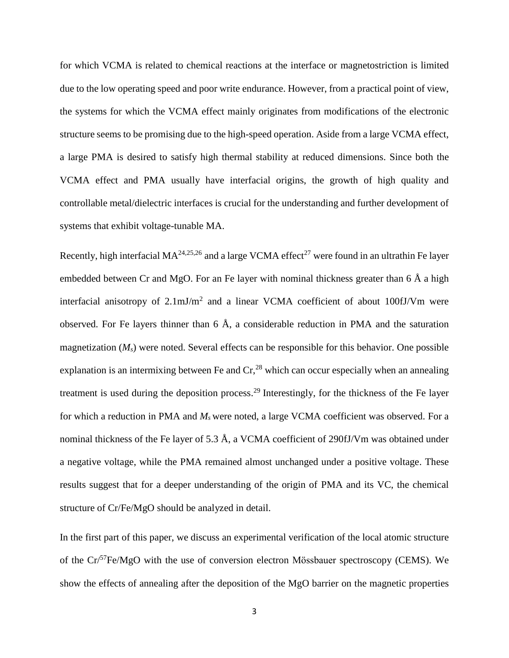for which VCMA is related to chemical reactions at the interface or magnetostriction is limited due to the low operating speed and poor write endurance. However, from a practical point of view, the systems for which the VCMA effect mainly originates from modifications of the electronic structure seems to be promising due to the high-speed operation. Aside from a large VCMA effect, a large PMA is desired to satisfy high thermal stability at reduced dimensions. Since both the VCMA effect and PMA usually have interfacial origins, the growth of high quality and controllable metal/dielectric interfaces is crucial for the understanding and further development of systems that exhibit voltage-tunable MA.

Recently, high interfacial  $MA^{24,25,26}$  and a large VCMA effect<sup>27</sup> were found in an ultrathin Fe layer embedded between Cr and MgO. For an Fe layer with nominal thickness greater than 6 Å a high interfacial anisotropy of  $2.1 \text{mJ/m}^2$  and a linear VCMA coefficient of about 100fJ/Vm were observed. For Fe layers thinner than 6 Å, a considerable reduction in PMA and the saturation magnetization (*Ms*) were noted. Several effects can be responsible for this behavior. One possible explanation is an intermixing between Fe and  $Cr<sub>1</sub><sup>28</sup>$  which can occur especially when an annealing treatment is used during the deposition process.<sup>29</sup> Interestingly, for the thickness of the Fe layer for which a reduction in PMA and *M<sup>s</sup>* were noted, a large VCMA coefficient was observed. For a nominal thickness of the Fe layer of 5.3 Å, a VCMA coefficient of 290fJ/Vm was obtained under a negative voltage, while the PMA remained almost unchanged under a positive voltage. These results suggest that for a deeper understanding of the origin of PMA and its VC, the chemical structure of Cr/Fe/MgO should be analyzed in detail.

In the first part of this paper, we discuss an experimental verification of the local atomic structure of the  $Cr^{57}Fe/MgO$  with the use of conversion electron Mössbauer spectroscopy (CEMS). We show the effects of annealing after the deposition of the MgO barrier on the magnetic properties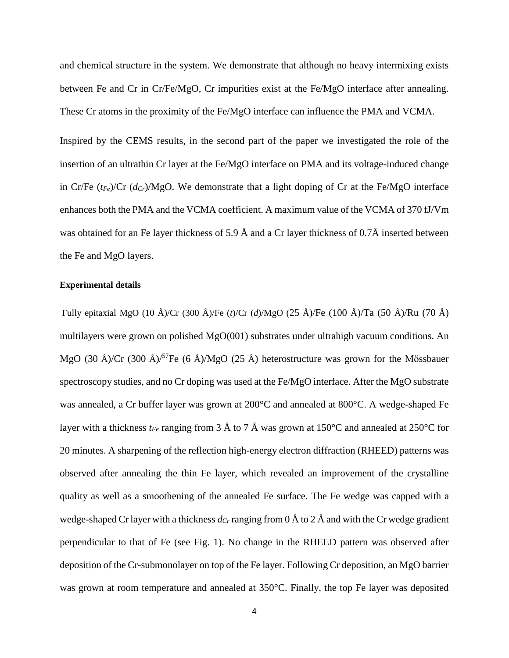and chemical structure in the system. We demonstrate that although no heavy intermixing exists between Fe and Cr in Cr/Fe/MgO, Cr impurities exist at the Fe/MgO interface after annealing. These Cr atoms in the proximity of the Fe/MgO interface can influence the PMA and VCMA.

Inspired by the CEMS results, in the second part of the paper we investigated the role of the insertion of an ultrathin Cr layer at the Fe/MgO interface on PMA and its voltage-induced change in Cr/Fe (*tFe*)/Cr (*dCr*)/MgO. We demonstrate that a light doping of Cr at the Fe/MgO interface enhances both the PMA and the VCMA coefficient. A maximum value of the VCMA of 370 fJ/Vm was obtained for an Fe layer thickness of 5.9 Å and a Cr layer thickness of 0.7Å inserted between the Fe and MgO layers.

### **Experimental details**

Fully epitaxial MgO (10 Å)/Cr (300 Å)/Fe (*t*)/Cr (*d*)/MgO (25 Å)/Fe (100 Å)/Ta (50 Å)/Ru (70 Å) multilayers were grown on polished MgO(001) substrates under ultrahigh vacuum conditions. An MgO (30 Å)/Cr (300 Å)/<sup>57</sup>Fe (6 Å)/MgO (25 Å) heterostructure was grown for the Mössbauer spectroscopy studies, and no Cr doping was used at the Fe/MgO interface. After the MgO substrate was annealed, a Cr buffer layer was grown at 200°C and annealed at 800°C. A wedge-shaped Fe layer with a thickness *tFe* ranging from 3 Å to 7 Å was grown at 150°C and annealed at 250°C for 20 minutes. A sharpening of the reflection high-energy electron diffraction (RHEED) patterns was observed after annealing the thin Fe layer, which revealed an improvement of the crystalline quality as well as a smoothening of the annealed Fe surface. The Fe wedge was capped with a wedge-shaped Cr layer with a thickness  $d_{Cr}$  ranging from 0 Å to 2 Å and with the Cr wedge gradient perpendicular to that of Fe (see Fig. 1). No change in the RHEED pattern was observed after deposition of the Cr-submonolayer on top of the Fe layer. Following Cr deposition, an MgO barrier was grown at room temperature and annealed at 350°C. Finally, the top Fe layer was deposited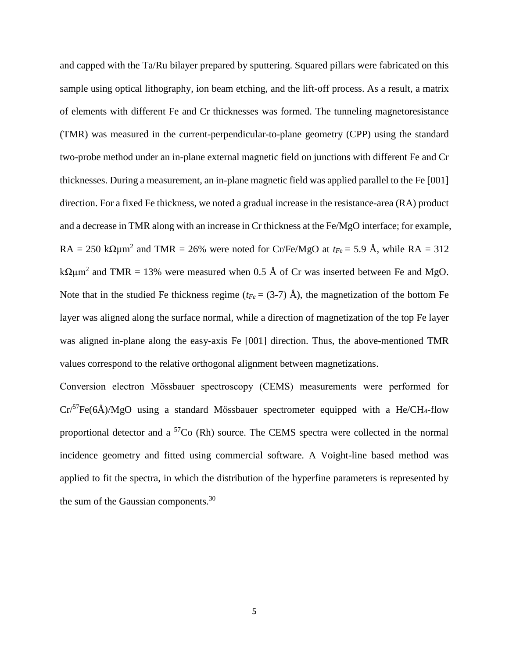and capped with the Ta/Ru bilayer prepared by sputtering. Squared pillars were fabricated on this sample using optical lithography, ion beam etching, and the lift-off process. As a result, a matrix of elements with different Fe and Cr thicknesses was formed. The tunneling magnetoresistance (TMR) was measured in the current-perpendicular-to-plane geometry (CPP) using the standard two-probe method under an in-plane external magnetic field on junctions with different Fe and Cr thicknesses. During a measurement, an in-plane magnetic field was applied parallel to the Fe [001] direction. For a fixed Fe thickness, we noted a gradual increase in the resistance-area (RA) product and a decrease in TMR along with an increase in Cr thickness at the Fe/MgO interface; for example,  $RA = 250 \text{ k}\Omega\mu\text{m}^2$  and TMR = 26% were noted for Cr/Fe/MgO at  $t_{Fe} = 5.9 \text{ Å}$ , while RA = 312 k $\Omega \mu$ m<sup>2</sup> and TMR = 13% were measured when 0.5 Å of Cr was inserted between Fe and MgO. Note that in the studied Fe thickness regime ( $t_{Fe}$  = (3-7) Å), the magnetization of the bottom Fe layer was aligned along the surface normal, while a direction of magnetization of the top Fe layer was aligned in-plane along the easy-axis Fe [001] direction. Thus, the above-mentioned TMR values correspond to the relative orthogonal alignment between magnetizations.

Conversion electron Mӧssbauer spectroscopy (CEMS) measurements were performed for  $Cr^{57}Fe(6\AA)/MgO$  using a standard Mössbauer spectrometer equipped with a He/CH<sub>4</sub>-flow proportional detector and a  ${}^{57}Co$  (Rh) source. The CEMS spectra were collected in the normal incidence geometry and fitted using commercial software. A Voight-line based method was applied to fit the spectra, in which the distribution of the hyperfine parameters is represented by the sum of the Gaussian components.<sup>30</sup>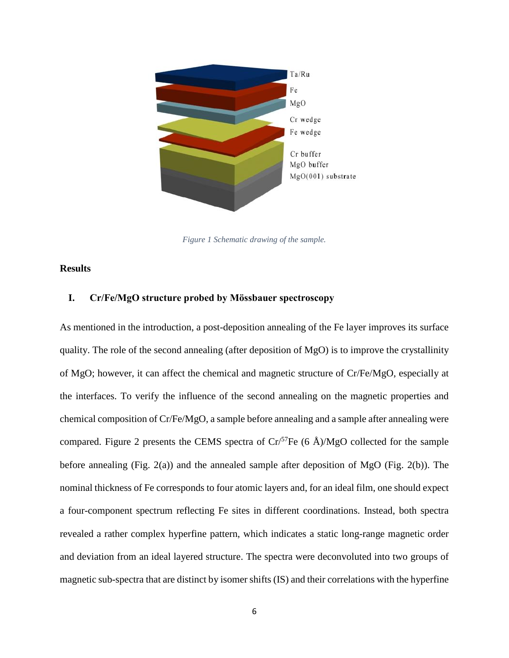

*Figure 1 Schematic drawing of the sample.*

#### **Results**

# **I. Cr/Fe/MgO structure probed by Mӧssbauer spectroscopy**

As mentioned in the introduction, a post-deposition annealing of the Fe layer improves its surface quality. The role of the second annealing (after deposition of MgO) is to improve the crystallinity of MgO; however, it can affect the chemical and magnetic structure of Cr/Fe/MgO, especially at the interfaces. To verify the influence of the second annealing on the magnetic properties and chemical composition of Cr/Fe/MgO, a sample before annealing and a sample after annealing were compared. Figure 2 presents the CEMS spectra of  $Cr^{57}Fe$  (6 Å)/MgO collected for the sample before annealing (Fig.  $2(a)$ ) and the annealed sample after deposition of MgO (Fig.  $2(b)$ ). The nominal thickness of Fe corresponds to four atomic layers and, for an ideal film, one should expect a four-component spectrum reflecting Fe sites in different coordinations. Instead, both spectra revealed a rather complex hyperfine pattern, which indicates a static long-range magnetic order and deviation from an ideal layered structure. The spectra were deconvoluted into two groups of magnetic sub-spectra that are distinct by isomer shifts (IS) and their correlations with the hyperfine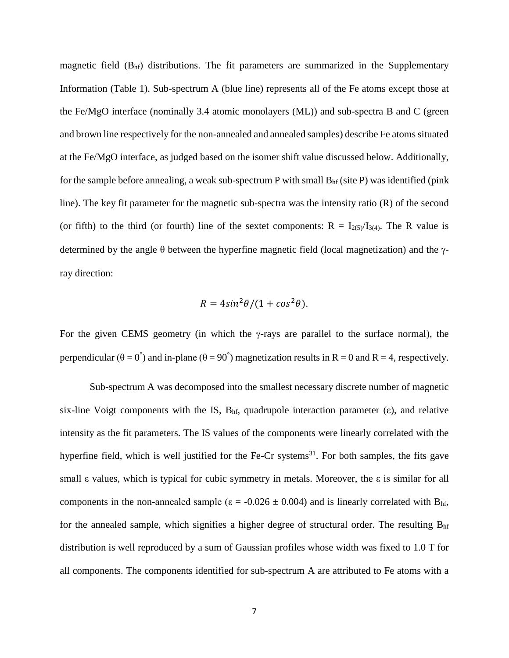magnetic field  $(B<sub>hf</sub>)$  distributions. The fit parameters are summarized in the Supplementary Information (Table 1). Sub-spectrum A (blue line) represents all of the Fe atoms except those at the Fe/MgO interface (nominally 3.4 atomic monolayers (ML)) and sub-spectra B and C (green and brown line respectively for the non-annealed and annealed samples) describe Fe atoms situated at the Fe/MgO interface, as judged based on the isomer shift value discussed below. Additionally, for the sample before annealing, a weak sub-spectrum P with small  $B<sub>hf</sub>$  (site P) was identified (pink line). The key fit parameter for the magnetic sub-spectra was the intensity ratio (R) of the second (or fifth) to the third (or fourth) line of the sextet components:  $R = I_{2(5)}/I_{3(4)}$ . The R value is determined by the angle  $\theta$  between the hyperfine magnetic field (local magnetization) and the  $\gamma$ ray direction:

$$
R = 4\sin^2\theta/(1 + \cos^2\theta).
$$

For the given CEMS geometry (in which the  $\gamma$ -rays are parallel to the surface normal), the perpendicular ( $\theta = 0^{\degree}$ ) and in-plane ( $\theta = 90^{\degree}$ ) magnetization results in R = 0 and R = 4, respectively.

Sub-spectrum A was decomposed into the smallest necessary discrete number of magnetic six-line Voigt components with the IS,  $B<sub>hf</sub>$ , quadrupole interaction parameter (ε), and relative intensity as the fit parameters. The IS values of the components were linearly correlated with the hyperfine field, which is well justified for the Fe-Cr systems<sup>31</sup>. For both samples, the fits gave small ε values, which is typical for cubic symmetry in metals. Moreover, the ε is similar for all components in the non-annealed sample ( $\varepsilon = -0.026 \pm 0.004$ ) and is linearly correlated with B<sub>hf</sub>, for the annealed sample, which signifies a higher degree of structural order. The resulting  $B<sub>hf</sub>$ distribution is well reproduced by a sum of Gaussian profiles whose width was fixed to 1.0 T for all components. The components identified for sub-spectrum A are attributed to Fe atoms with a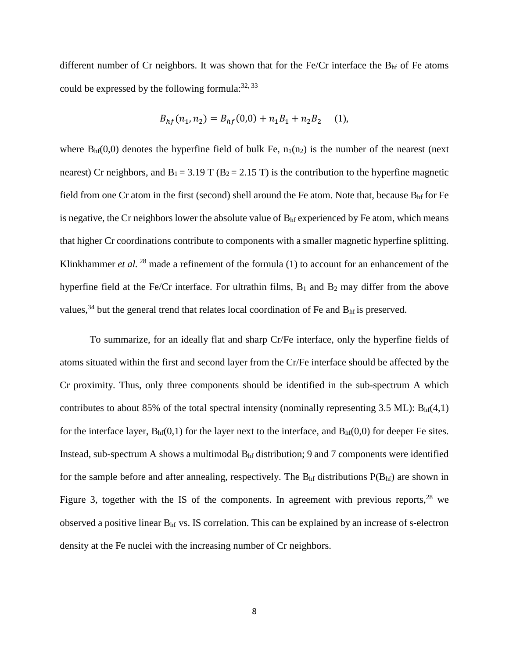different number of Cr neighbors. It was shown that for the Fe/Cr interface the B<sub>hf</sub> of Fe atoms could be expressed by the following formula: $32, 33$ 

$$
B_{hf}(n_1, n_2) = B_{hf}(0, 0) + n_1 B_1 + n_2 B_2 \quad (1),
$$

where  $B<sub>hf</sub>(0,0)$  denotes the hyperfine field of bulk Fe,  $n_1(n_2)$  is the number of the nearest (next nearest) Cr neighbors, and  $B_1 = 3.19$  T ( $B_2 = 2.15$  T) is the contribution to the hyperfine magnetic field from one Cr atom in the first (second) shell around the Fe atom. Note that, because  $B<sub>hf</sub>$  for Fe is negative, the Cr neighbors lower the absolute value of  $B<sub>hf</sub>$  experienced by Fe atom, which means that higher Cr coordinations contribute to components with a smaller magnetic hyperfine splitting. Klinkhammer *et al.* <sup>28</sup> made a refinement of the formula (1) to account for an enhancement of the hyperfine field at the Fe/Cr interface. For ultrathin films,  $B_1$  and  $B_2$  may differ from the above values,<sup>34</sup> but the general trend that relates local coordination of Fe and  $B<sub>hf</sub>$  is preserved.

To summarize, for an ideally flat and sharp Cr/Fe interface, only the hyperfine fields of atoms situated within the first and second layer from the Cr/Fe interface should be affected by the Cr proximity. Thus, only three components should be identified in the sub-spectrum A which contributes to about 85% of the total spectral intensity (nominally representing 3.5 ML):  $B<sub>hf</sub>(4,1)$ for the interface layer,  $B<sub>hf</sub>(0,1)$  for the layer next to the interface, and  $B<sub>hf</sub>(0,0)$  for deeper Fe sites. Instead, sub-spectrum A shows a multimodal  $B<sub>hf</sub>$  distribution; 9 and 7 components were identified for the sample before and after annealing, respectively. The  $B<sub>hf</sub>$  distributions  $P(B<sub>hf</sub>)$  are shown in Figure 3, together with the IS of the components. In agreement with previous reports,  $28$  we observed a positive linear Bhf vs. IS correlation. This can be explained by an increase of s-electron density at the Fe nuclei with the increasing number of Cr neighbors.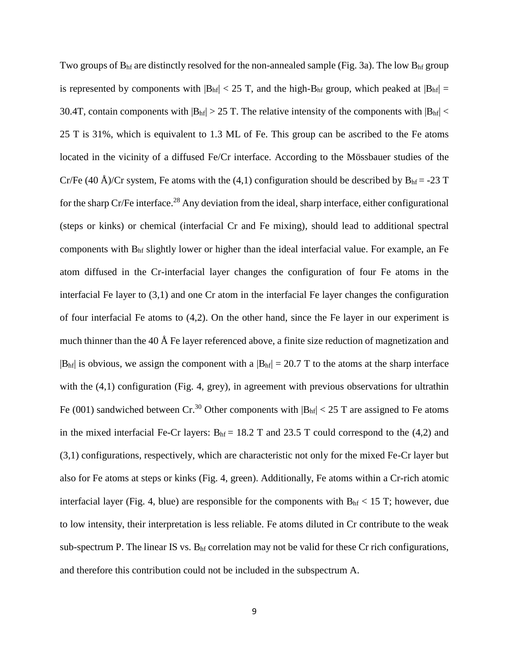Two groups of  $B<sub>hf</sub>$  are distinctly resolved for the non-annealed sample (Fig. 3a). The low  $B<sub>hf</sub>$  group is represented by components with  $|B_{hf}| < 25$  T, and the high-B<sub>hf</sub> group, which peaked at  $|B_{hf}| =$ 30.4T, contain components with  $|B<sub>hf</sub>| > 25$  T. The relative intensity of the components with  $|B<sub>hf</sub>| <$ 25 T is 31%, which is equivalent to 1.3 ML of Fe. This group can be ascribed to the Fe atoms located in the vicinity of a diffused Fe/Cr interface. According to the Mössbauer studies of the Cr/Fe (40 Å)/Cr system, Fe atoms with the (4,1) configuration should be described by  $B<sub>hf</sub> = -23 T$ for the sharp Cr/Fe interface.<sup>28</sup> Any deviation from the ideal, sharp interface, either configurational (steps or kinks) or chemical (interfacial Cr and Fe mixing), should lead to additional spectral components with Bhf slightly lower or higher than the ideal interfacial value. For example, an Fe atom diffused in the Cr-interfacial layer changes the configuration of four Fe atoms in the interfacial Fe layer to (3,1) and one Cr atom in the interfacial Fe layer changes the configuration of four interfacial Fe atoms to (4,2). On the other hand, since the Fe layer in our experiment is much thinner than the 40 Å Fe layer referenced above, a finite size reduction of magnetization and  $|B<sub>hf</sub>|$  is obvious, we assign the component with a  $|B<sub>hf</sub>| = 20.7$  T to the atoms at the sharp interface with the  $(4,1)$  configuration (Fig. 4, grey), in agreement with previous observations for ultrathin Fe (001) sandwiched between Cr.<sup>30</sup> Other components with  $|B_{hf}| < 25$  T are assigned to Fe atoms in the mixed interfacial Fe-Cr layers:  $B<sub>hf</sub> = 18.2$  T and 23.5 T could correspond to the (4,2) and (3,1) configurations, respectively, which are characteristic not only for the mixed Fe-Cr layer but also for Fe atoms at steps or kinks (Fig. 4, green). Additionally, Fe atoms within a Cr-rich atomic interfacial layer (Fig. 4, blue) are responsible for the components with  $B<sub>hf</sub> < 15$  T; however, due to low intensity, their interpretation is less reliable. Fe atoms diluted in Cr contribute to the weak sub-spectrum P. The linear IS vs. B<sub>hf</sub> correlation may not be valid for these Cr rich configurations, and therefore this contribution could not be included in the subspectrum A.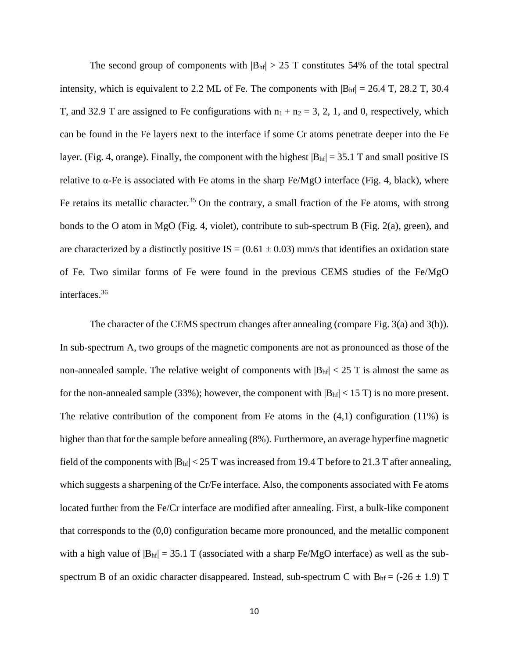The second group of components with  $|B_{hf}| > 25$  T constitutes 54% of the total spectral intensity, which is equivalent to 2.2 ML of Fe. The components with  $|B<sub>hf</sub>| = 26.4$  T, 28.2 T, 30.4 T, and 32.9 T are assigned to Fe configurations with  $n_1 + n_2 = 3, 2, 1$ , and 0, respectively, which can be found in the Fe layers next to the interface if some Cr atoms penetrate deeper into the Fe layer. (Fig. 4, orange). Finally, the component with the highest  $|B<sub>hf</sub>| = 35.1$  T and small positive IS relative to  $\alpha$ -Fe is associated with Fe atoms in the sharp Fe/MgO interface (Fig. 4, black), where Fe retains its metallic character.<sup>35</sup> On the contrary, a small fraction of the Fe atoms, with strong bonds to the O atom in MgO (Fig. 4, violet), contribute to sub-spectrum B (Fig. 2(a), green), and are characterized by a distinctly positive IS =  $(0.61 \pm 0.03)$  mm/s that identifies an oxidation state of Fe. Two similar forms of Fe were found in the previous CEMS studies of the Fe/MgO interfaces.<sup>36</sup>

The character of the CEMS spectrum changes after annealing (compare Fig. 3(a) and 3(b)). In sub-spectrum A, two groups of the magnetic components are not as pronounced as those of the non-annealed sample. The relative weight of components with  $|B<sub>hf</sub>| < 25$  T is almost the same as for the non-annealed sample (33%); however, the component with  $|B_{hf}| < 15$  T) is no more present. The relative contribution of the component from Fe atoms in the  $(4,1)$  configuration  $(11\%)$  is higher than that for the sample before annealing (8%). Furthermore, an average hyperfine magnetic field of the components with  $|B_{hf}| < 25$  T was increased from 19.4 T before to 21.3 T after annealing, which suggests a sharpening of the Cr/Fe interface. Also, the components associated with Fe atoms located further from the Fe/Cr interface are modified after annealing. First, a bulk-like component that corresponds to the (0,0) configuration became more pronounced, and the metallic component with a high value of  $|B_{hf}| = 35.1$  T (associated with a sharp Fe/MgO interface) as well as the subspectrum B of an oxidic character disappeared. Instead, sub-spectrum C with  $B<sub>hf</sub> = (-26 \pm 1.9)$  T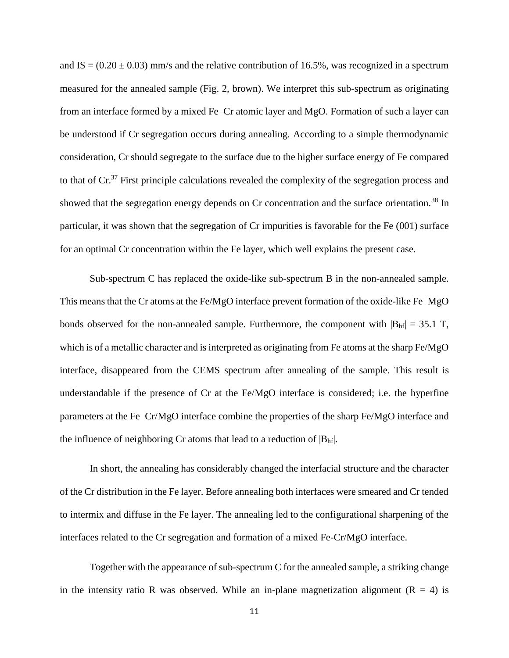and IS =  $(0.20 \pm 0.03)$  mm/s and the relative contribution of 16.5%, was recognized in a spectrum measured for the annealed sample (Fig. 2, brown). We interpret this sub-spectrum as originating from an interface formed by a mixed Fe–Cr atomic layer and MgO. Formation of such a layer can be understood if Cr segregation occurs during annealing. According to a simple thermodynamic consideration, Cr should segregate to the surface due to the higher surface energy of Fe compared to that of Cr.<sup>37</sup> First principle calculations revealed the complexity of the segregation process and showed that the segregation energy depends on Cr concentration and the surface orientation.<sup>38</sup> In particular, it was shown that the segregation of Cr impurities is favorable for the Fe (001) surface for an optimal Cr concentration within the Fe layer, which well explains the present case.

Sub-spectrum C has replaced the oxide-like sub-spectrum B in the non-annealed sample. This means that the Cr atoms at the Fe/MgO interface prevent formation of the oxide-like Fe–MgO bonds observed for the non-annealed sample. Furthermore, the component with  $|B_{hf}| = 35.1$  T, which is of a metallic character and is interpreted as originating from Fe atoms at the sharp Fe/MgO interface, disappeared from the CEMS spectrum after annealing of the sample. This result is understandable if the presence of Cr at the Fe/MgO interface is considered; i.e. the hyperfine parameters at the Fe–Cr/MgO interface combine the properties of the sharp Fe/MgO interface and the influence of neighboring Cr atoms that lead to a reduction of  $|B<sub>hf</sub>|$ .

In short, the annealing has considerably changed the interfacial structure and the character of the Cr distribution in the Fe layer. Before annealing both interfaces were smeared and Cr tended to intermix and diffuse in the Fe layer. The annealing led to the configurational sharpening of the interfaces related to the Cr segregation and formation of a mixed Fe-Cr/MgO interface.

Together with the appearance of sub-spectrum C for the annealed sample, a striking change in the intensity ratio R was observed. While an in-plane magnetization alignment  $(R = 4)$  is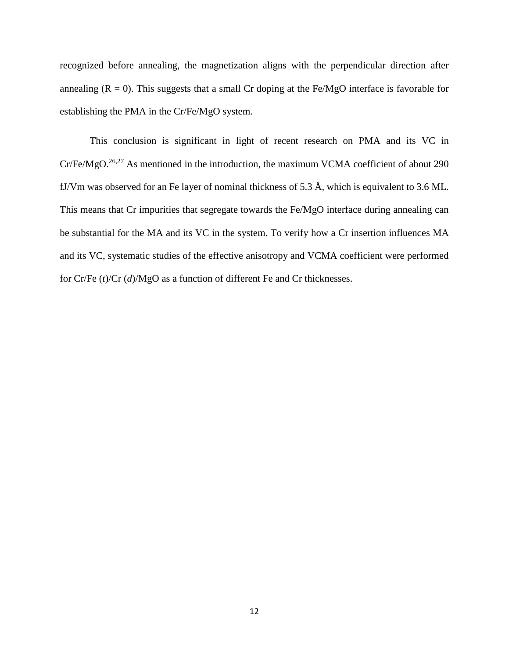recognized before annealing, the magnetization aligns with the perpendicular direction after annealing  $(R = 0)$ . This suggests that a small Cr doping at the Fe/MgO interface is favorable for establishing the PMA in the Cr/Fe/MgO system.

This conclusion is significant in light of recent research on PMA and its VC in Cr/Fe/MgO.26,27 As mentioned in the introduction, the maximum VCMA coefficient of about 290 fJ/Vm was observed for an Fe layer of nominal thickness of 5.3 Å, which is equivalent to 3.6 ML. This means that Cr impurities that segregate towards the Fe/MgO interface during annealing can be substantial for the MA and its VC in the system. To verify how a Cr insertion influences MA and its VC, systematic studies of the effective anisotropy and VCMA coefficient were performed for Cr/Fe (*t*)/Cr (*d*)/MgO as a function of different Fe and Cr thicknesses.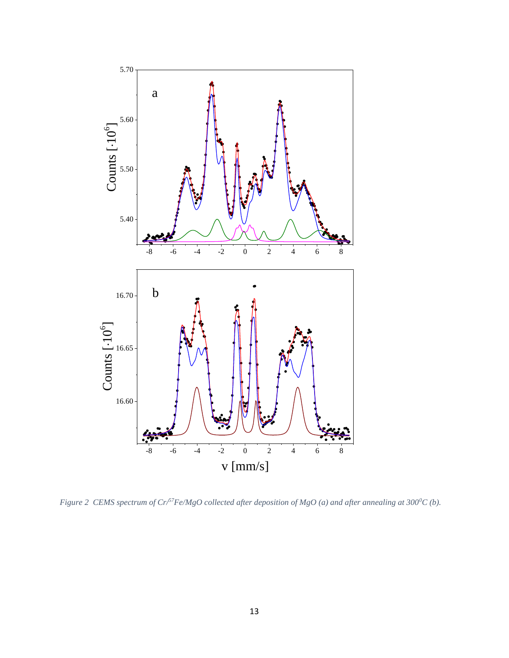

*Figure 2 CEMS spectrum of Cr/57Fe/MgO collected after deposition of MgO (a) and after annealing at 3000C (b).*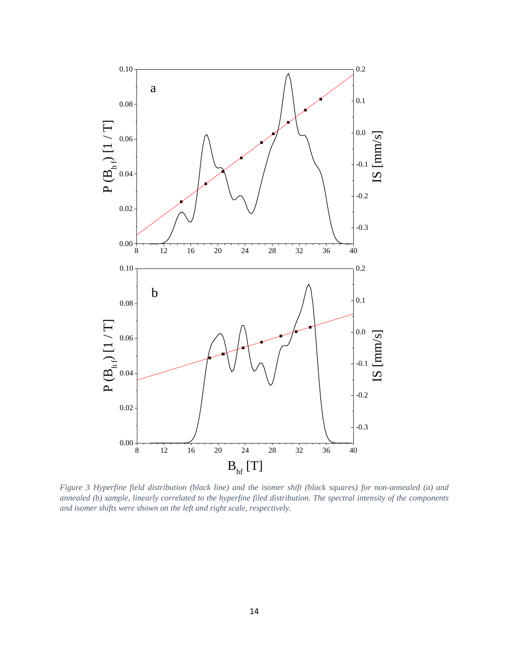

*Figure 3 Hyperfine field distribution (black line) and the isomer shift (black squares) for non-annealed (a) and annealed (b) sample, linearly correlated to the hyperfine filed distribution. The spectral intensity of the components and isomer shifts were shown on the left and right scale, respectively.*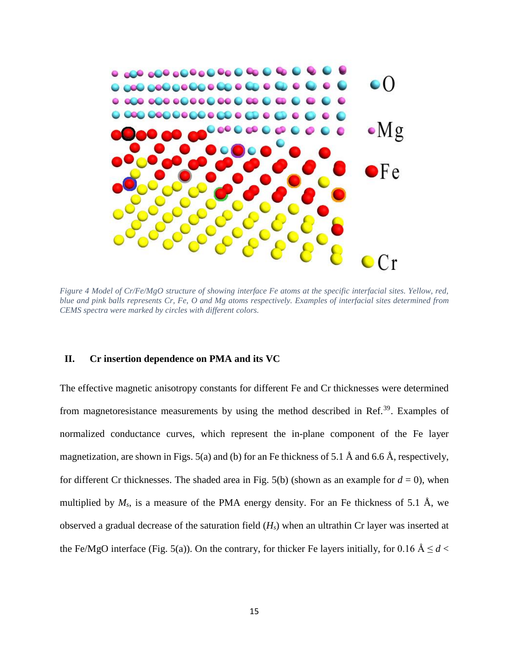

*Figure 4 Model of Cr/Fe/MgO structure of showing interface Fe atoms at the specific interfacial sites. Yellow, red, blue and pink balls represents Cr, Fe, O and Mg atoms respectively. Examples of interfacial sites determined from CEMS spectra were marked by circles with different colors.* 

## **II. Cr insertion dependence on PMA and its VC**

The effective magnetic anisotropy constants for different Fe and Cr thicknesses were determined from magnetoresistance measurements by using the method described in Ref.<sup>39</sup>. Examples of normalized conductance curves, which represent the in-plane component of the Fe layer magnetization, are shown in Figs. 5(a) and (b) for an Fe thickness of 5.1 Å and 6.6 Å, respectively, for different Cr thicknesses. The shaded area in Fig. 5(b) (shown as an example for  $d = 0$ ), when multiplied by  $M_s$ , is a measure of the PMA energy density. For an Fe thickness of 5.1 Å, we observed a gradual decrease of the saturation field (*Hs*) when an ultrathin Cr layer was inserted at the Fe/MgO interface (Fig. 5(a)). On the contrary, for thicker Fe layers initially, for 0.16 Å  $\leq d$  <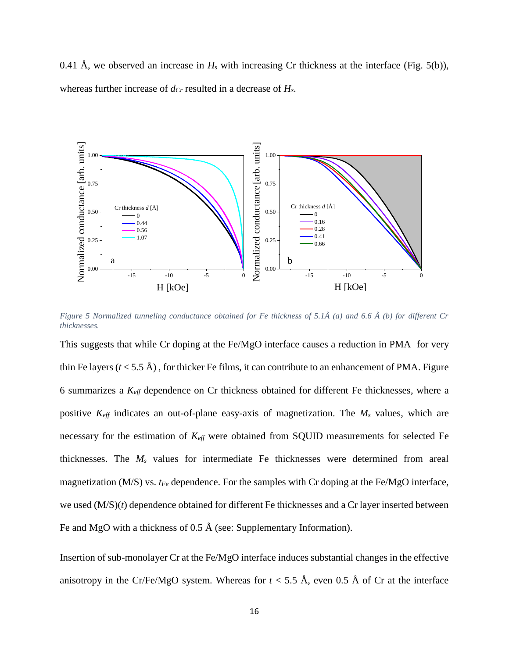0.41 Å, we observed an increase in  $H_s$  with increasing Cr thickness at the interface (Fig. 5(b)), whereas further increase of *dCr* resulted in a decrease of *Hs*.



*Figure 5 Normalized tunneling conductance obtained for Fe thickness of 5.1Å (a) and 6.6 Å (b) for different Cr thicknesses.*

This suggests that while Cr doping at the Fe/MgO interface causes a reduction in PMA for very thin Fe layers  $(t < 5.5 \text{ Å})$ , for thicker Fe films, it can contribute to an enhancement of PMA. Figure 6 summarizes a *Keff* dependence on Cr thickness obtained for different Fe thicknesses, where a positive *Keff* indicates an out-of-plane easy-axis of magnetization. The *M<sup>s</sup>* values, which are necessary for the estimation of *Keff* were obtained from SQUID measurements for selected Fe thicknesses. The *M<sup>s</sup>* values for intermediate Fe thicknesses were determined from areal magnetization (M/S) vs. *tFe* dependence. For the samples with Cr doping at the Fe/MgO interface, we used (M/S)(*t*) dependence obtained for different Fe thicknesses and a Cr layer inserted between Fe and MgO with a thickness of 0.5 Å (see: Supplementary Information).

Insertion of sub-monolayer Cr at the Fe/MgO interface induces substantial changes in the effective anisotropy in the Cr/Fe/MgO system. Whereas for  $t < 5.5$  Å, even 0.5 Å of Cr at the interface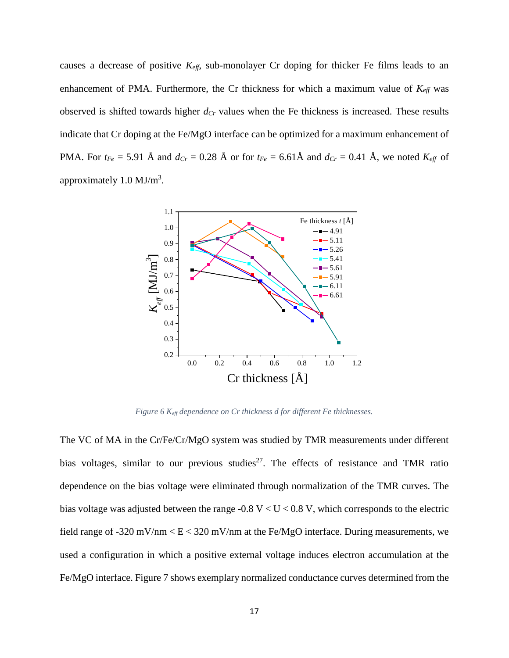causes a decrease of positive *Keff*, sub-monolayer Cr doping for thicker Fe films leads to an enhancement of PMA. Furthermore, the Cr thickness for which a maximum value of  $K_{\text{eff}}$  was observed is shifted towards higher *dCr* values when the Fe thickness is increased. These results indicate that Cr doping at the Fe/MgO interface can be optimized for a maximum enhancement of PMA. For  $t_{Fe} = 5.91$  Å and  $d_{Cr} = 0.28$  Å or for  $t_{Fe} = 6.61$ Å and  $d_{Cr} = 0.41$  Å, we noted  $K_{eff}$  of approximately  $1.0 \text{ MJ/m}^3$ .



*Figure 6 Keff dependence on Cr thickness d for different Fe thicknesses.*

The VC of MA in the Cr/Fe/Cr/MgO system was studied by TMR measurements under different bias voltages, similar to our previous studies<sup>27</sup>. The effects of resistance and TMR ratio dependence on the bias voltage were eliminated through normalization of the TMR curves. The bias voltage was adjusted between the range -0.8 V  $< U < 0.8$  V, which corresponds to the electric field range of -320 mV/nm  $\lt E \lt 320$  mV/nm at the Fe/MgO interface. During measurements, we used a configuration in which a positive external voltage induces electron accumulation at the Fe/MgO interface. Figure 7 shows exemplary normalized conductance curves determined from the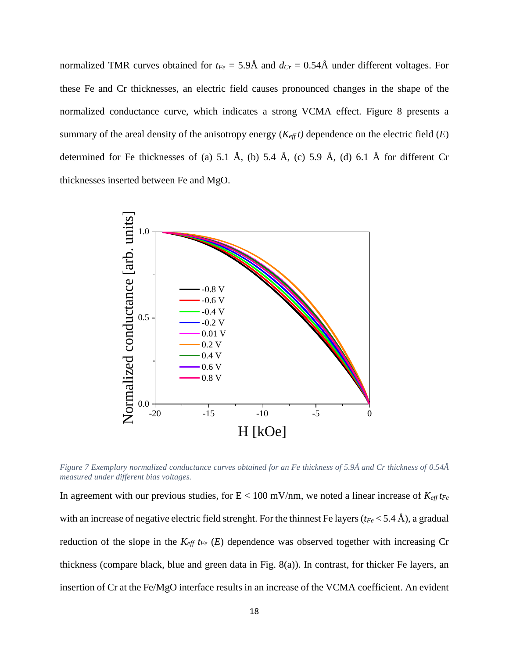normalized TMR curves obtained for  $t_{Fe} = 5.9\text{\AA}$  and  $d_{Cr} = 0.54\text{\AA}$  under different voltages. For these Fe and Cr thicknesses, an electric field causes pronounced changes in the shape of the normalized conductance curve, which indicates a strong VCMA effect. Figure 8 presents a summary of the areal density of the anisotropy energy  $(K_{\text{eff}} t)$  dependence on the electric field  $(E)$ determined for Fe thicknesses of (a) 5.1 Å, (b) 5.4 Å, (c) 5.9 Å, (d) 6.1 Å for different Cr thicknesses inserted between Fe and MgO.



*Figure 7 Exemplary normalized conductance curves obtained for an Fe thickness of 5.9Å and Cr thickness of 0.54Å measured under different bias voltages.*

In agreement with our previous studies, for  $E < 100$  mV/nm, we noted a linear increase of  $K_{\text{eff}} t_{\text{Fe}}$ with an increase of negative electric field strenght. For the thinnest Fe layers (*tFe* < 5.4 Å), a gradual reduction of the slope in the *Keff tFe* (*E*) dependence was observed together with increasing Cr thickness (compare black, blue and green data in Fig. 8(a)). In contrast, for thicker Fe layers, an insertion of Cr at the Fe/MgO interface results in an increase of the VCMA coefficient. An evident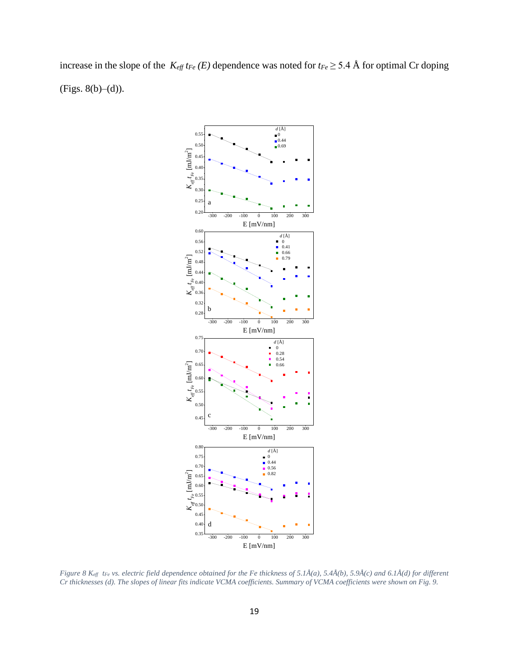increase in the slope of the  $K_{\text{eff}}$  *t*<sub>Fe</sub> (*E*) dependence was noted for  $t_{\text{Fe}} \geq 5.4$  Å for optimal Cr doping  $(Figs. 8(b)–(d)).$ 



*Figure 8 Keff tFe vs. electric field dependence obtained for the Fe thickness of 5.1Å(a), 5.4Å(b), 5.9Å(c) and 6.1Å(d) for different Cr thicknesses (d). The slopes of linear fits indicate VCMA coefficients. Summary of VCMA coefficients were shown on Fig. 9.*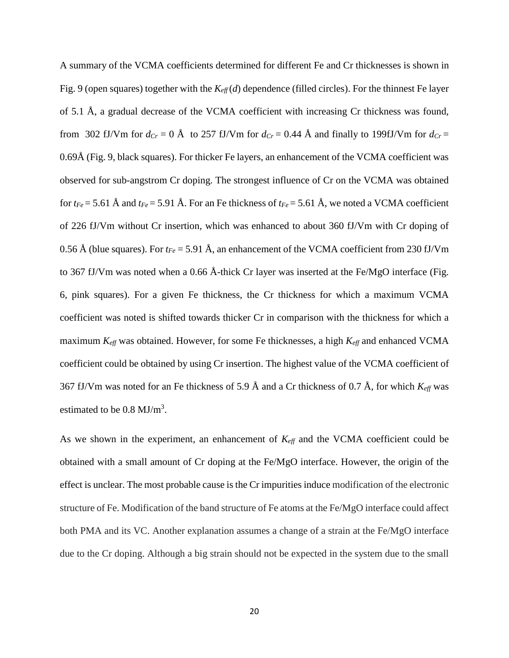A summary of the VCMA coefficients determined for different Fe and Cr thicknesses is shown in Fig. 9 (open squares) together with the *Keff*(*d*) dependence (filled circles). For the thinnest Fe layer of 5.1 Å, a gradual decrease of the VCMA coefficient with increasing Cr thickness was found, from 302 fJ/Vm for  $d_{Cr} = 0$  Å to 257 fJ/Vm for  $d_{Cr} = 0.44$  Å and finally to 199fJ/Vm for  $d_{Cr} =$ 0.69Å (Fig. 9, black squares). For thicker Fe layers, an enhancement of the VCMA coefficient was observed for sub-angstrom Cr doping. The strongest influence of Cr on the VCMA was obtained for  $t_{Fe} = 5.61$  Å and  $t_{Fe} = 5.91$  Å. For an Fe thickness of  $t_{Fe} = 5.61$  Å, we noted a VCMA coefficient of 226 fJ/Vm without Cr insertion, which was enhanced to about 360 fJ/Vm with Cr doping of 0.56 Å (blue squares). For *tFe* = 5.91 Å, an enhancement of the VCMA coefficient from 230 fJ/Vm to 367 fJ/Vm was noted when a 0.66 Å-thick Cr layer was inserted at the Fe/MgO interface (Fig. 6, pink squares). For a given Fe thickness, the Cr thickness for which a maximum VCMA coefficient was noted is shifted towards thicker Cr in comparison with the thickness for which a maximum  $K_{\text{eff}}$  was obtained. However, for some Fe thicknesses, a high  $K_{\text{eff}}$  and enhanced VCMA coefficient could be obtained by using Cr insertion. The highest value of the VCMA coefficient of 367 fJ/Vm was noted for an Fe thickness of 5.9 Å and a Cr thickness of 0.7 Å, for which *Keff* was estimated to be  $0.8 \text{ MJ/m}^3$ .

As we shown in the experiment, an enhancement of  $K_{\text{eff}}$  and the VCMA coefficient could be obtained with a small amount of Cr doping at the Fe/MgO interface. However, the origin of the effect is unclear. The most probable cause is the Cr impurities induce modification of the electronic structure of Fe. Modification of the band structure of Fe atoms at the Fe/MgO interface could affect both PMA and its VC. Another explanation assumes a change of a strain at the Fe/MgO interface due to the Cr doping. Although a big strain should not be expected in the system due to the small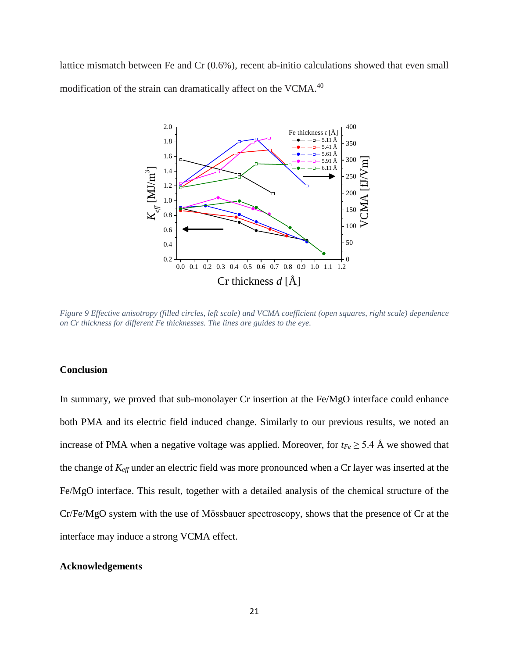lattice mismatch between Fe and Cr (0.6%), recent ab-initio calculations showed that even small modification of the strain can dramatically affect on the VCMA.<sup>40</sup>



*Figure 9 Effective anisotropy (filled circles, left scale) and VCMA coefficient (open squares, right scale) dependence on Cr thickness for different Fe thicknesses. The lines are guides to the eye.* 

# **Conclusion**

In summary, we proved that sub-monolayer Cr insertion at the Fe/MgO interface could enhance both PMA and its electric field induced change. Similarly to our previous results, we noted an increase of PMA when a negative voltage was applied. Moreover, for  $t_{Fe} \geq 5.4$  Å we showed that the change of *Keff* under an electric field was more pronounced when a Cr layer was inserted at the Fe/MgO interface. This result, together with a detailed analysis of the chemical structure of the Cr/Fe/MgO system with the use of Mӧssbauer spectroscopy, shows that the presence of Cr at the interface may induce a strong VCMA effect.

# **Acknowledgements**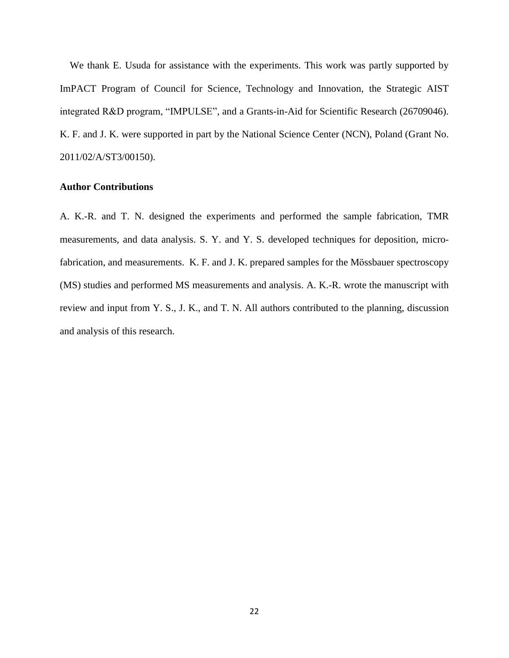We thank E. Usuda for assistance with the experiments. This work was partly supported by ImPACT Program of Council for Science, Technology and Innovation, the Strategic AIST integrated R&D program, "IMPULSE", and a Grants-in-Aid for Scientific Research (26709046). K. F. and J. K. were supported in part by the National Science Center (NCN), Poland (Grant No. 2011/02/A/ST3/00150).

### **Author Contributions**

A. K.-R. and T. N. designed the experiments and performed the sample fabrication, TMR measurements, and data analysis. S. Y. and Y. S. developed techniques for deposition, microfabrication, and measurements. K. F. and J. K. prepared samples for the Mössbauer spectroscopy (MS) studies and performed MS measurements and analysis. A. K.-R. wrote the manuscript with review and input from Y. S., J. K., and T. N. All authors contributed to the planning, discussion and analysis of this research.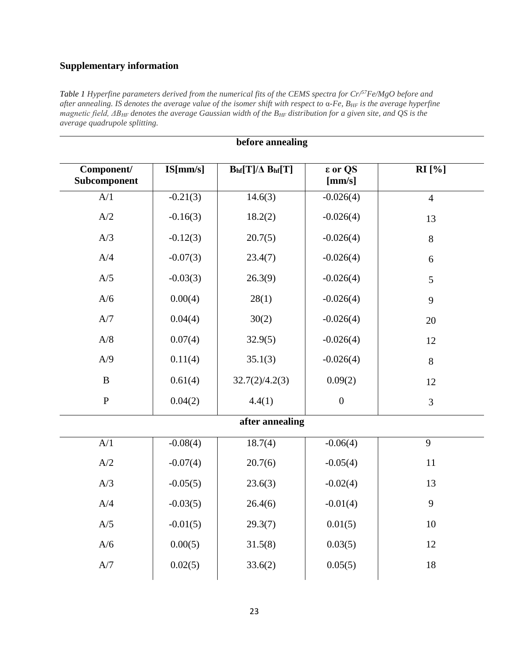# **Supplementary information**

*Table 1 Hyperfine parameters derived from the numerical fits of the CEMS spectra for Cr/ <sup>57</sup>Fe/MgO before and after annealing. IS denotes the average value of the isomer shift with respect to* α*-Fe, BHF is the average hyperfine magnetic field, ΔBHF denotes the average Gaussian width of the BHF distribution for a given site, and QS is the average quadrupole splitting.*

| before annealing                   |            |                        |                   |                |  |  |
|------------------------------------|------------|------------------------|-------------------|----------------|--|--|
| Component/<br>Subcomponent         | IS[mm/s]   | $Bhf[T]/\Delta Bhf[T]$ | ε or QS<br>[mm/s] | <b>RI</b> [%]  |  |  |
| $\ensuremath{\mathrm{A}}\xspace/1$ | $-0.21(3)$ | 14.6(3)                | $-0.026(4)$       | $\overline{4}$ |  |  |
| A/2                                | $-0.16(3)$ | 18.2(2)                | $-0.026(4)$       | 13             |  |  |
| A/3                                | $-0.12(3)$ | 20.7(5)                | $-0.026(4)$       | 8              |  |  |
| A/4                                | $-0.07(3)$ | 23.4(7)                | $-0.026(4)$       | 6              |  |  |
| A/5                                | $-0.03(3)$ | 26.3(9)                | $-0.026(4)$       | 5              |  |  |
| A/6                                | 0.00(4)    | 28(1)                  | $-0.026(4)$       | 9              |  |  |
| A/7                                | 0.04(4)    | 30(2)                  | $-0.026(4)$       | 20             |  |  |
| A/8                                | 0.07(4)    | 32.9(5)                | $-0.026(4)$       | 12             |  |  |
| A/9                                | 0.11(4)    | 35.1(3)                | $-0.026(4)$       | 8              |  |  |
| $\bf{B}$                           | 0.61(4)    | 32.7(2)/4.2(3)         | 0.09(2)           | 12             |  |  |
| ${\bf P}$                          | 0.04(2)    | 4.4(1)                 | $\boldsymbol{0}$  | 3              |  |  |
| after annealing                    |            |                        |                   |                |  |  |
| $\ensuremath{\mathrm{A}}\xspace/1$ | $-0.08(4)$ | 18.7(4)                | $-0.06(4)$        | 9              |  |  |
| A/2                                | $-0.07(4)$ | 20.7(6)                | $-0.05(4)$        | 11             |  |  |
| A/3                                | $-0.05(5)$ | 23.6(3)                | $-0.02(4)$        | 13             |  |  |
| A/4                                | $-0.03(5)$ | 26.4(6)                | $-0.01(4)$        | 9              |  |  |
| A/5                                | $-0.01(5)$ | 29.3(7)                | 0.01(5)           | 10             |  |  |
| A/6                                | 0.00(5)    | 31.5(8)                | 0.03(5)           | 12             |  |  |
| $\ensuremath{\mathrm{A}}/7$        | 0.02(5)    | 33.6(2)                | 0.05(5)           | $18\,$         |  |  |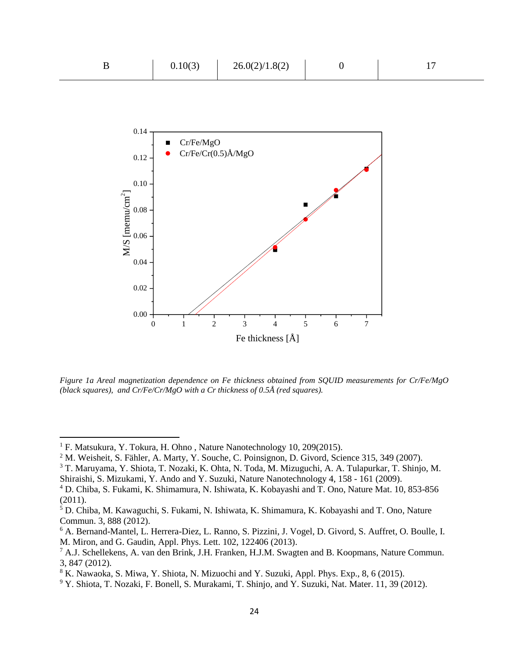| 0.10(3) | 26.0(2)/1.8(2) |  |
|---------|----------------|--|
|         |                |  |



*Figure 1a Areal magnetization dependence on Fe thickness obtained from SQUID measurements for Cr/Fe/MgO (black squares), and Cr/Fe/Cr/MgO with a Cr thickness of 0.5Å (red squares).* 

 $\overline{\phantom{a}}$ 

<sup>&</sup>lt;sup>1</sup> F. Matsukura, Y. Tokura, H. Ohno, Nature Nanotechnology 10, 209(2015).

<sup>2</sup> M. Weisheit, S. Fähler, A. Marty, Y. Souche, C. Poinsignon, D. Givord, Science 315, 349 (2007).

<sup>3</sup> T. Maruyama, Y. Shiota, T. Nozaki, K. Ohta, N. Toda, M. Mizuguchi, A. A. Tulapurkar, T. Shinjo, M. Shiraishi, S. Mizukami, Y. Ando and Y. Suzuki, Nature Nanotechnology 4, 158 - 161 (2009).

<sup>4</sup> D. Chiba, S. Fukami, K. Shimamura, N. Ishiwata, K. Kobayashi and T. Ono, Nature Mat. 10, 853-856 (2011).

<sup>5</sup> D. Chiba, M. Kawaguchi, S. Fukami, N. Ishiwata, K. Shimamura, K. Kobayashi and T. Ono, Nature Commun. 3, 888 (2012).

<sup>6</sup> A. Bernand-Mantel, L. Herrera-Diez, L. Ranno, S. Pizzini, J. Vogel, D. Givord, S. Auffret, O. Boulle, I. M. Miron, and G. Gaudin, Appl. Phys. Lett. 102, 122406 (2013).

<sup>7</sup> A.J. Schellekens, A. van den Brink, J.H. Franken, H.J.M. Swagten and B. Koopmans, Nature Commun. 3, 847 (2012).

<sup>8</sup> K. Nawaoka, S. Miwa, Y. Shiota, N. Mizuochi and Y. Suzuki, Appl. Phys. Exp., 8, 6 (2015).

<sup>9</sup> Y. Shiota, T. Nozaki, F. Bonell, S. Murakami, T. Shinjo, and Y. Suzuki, Nat. Mater. 11, 39 (2012).